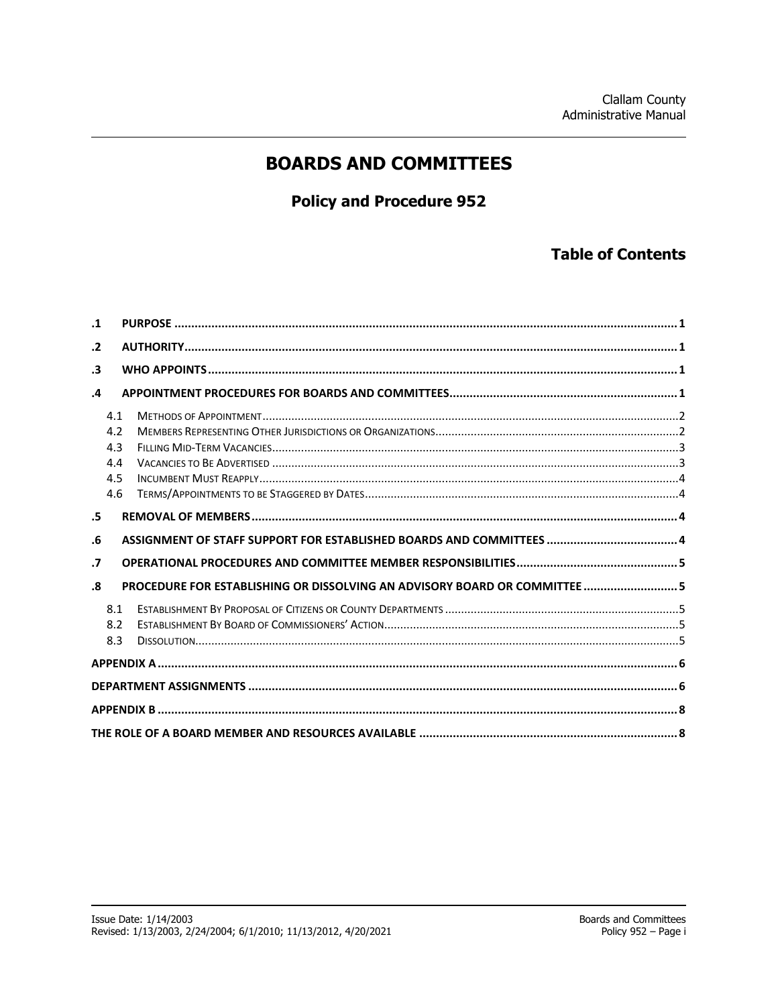## **BOARDS AND COMMITTEES**

## **Policy and Procedure 952**

## **Table of Contents**

| $\cdot$ 1  |                                        |                                                                            |  |
|------------|----------------------------------------|----------------------------------------------------------------------------|--|
| $\cdot$ .2 |                                        |                                                                            |  |
| $\cdot$ 3  |                                        |                                                                            |  |
| $\cdot$    |                                        |                                                                            |  |
|            | 4.1<br>4.2<br>4.3<br>4.4<br>4.5<br>4.6 |                                                                            |  |
| .5         |                                        |                                                                            |  |
|            |                                        |                                                                            |  |
| .6         |                                        |                                                                            |  |
| $\cdot$    |                                        |                                                                            |  |
| .8         |                                        | PROCEDURE FOR ESTABLISHING OR DISSOLVING AN ADVISORY BOARD OR COMMITTEE  5 |  |
|            | 8.1<br>8.2<br>8.3                      |                                                                            |  |
|            |                                        |                                                                            |  |
|            |                                        |                                                                            |  |
|            |                                        |                                                                            |  |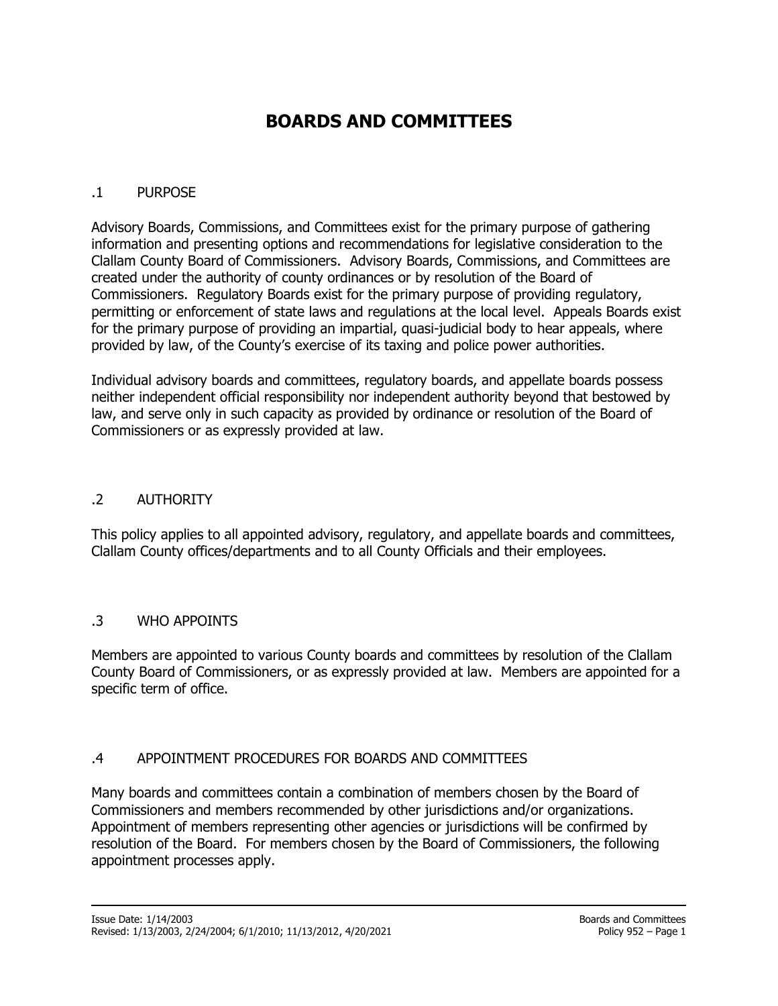# **BOARDS AND COMMITTEES**

## <span id="page-1-0"></span>.1 PURPOSE

Advisory Boards, Commissions, and Committees exist for the primary purpose of gathering information and presenting options and recommendations for legislative consideration to the Clallam County Board of Commissioners. Advisory Boards, Commissions, and Committees are created under the authority of county ordinances or by resolution of the Board of Commissioners. Regulatory Boards exist for the primary purpose of providing regulatory, permitting or enforcement of state laws and regulations at the local level. Appeals Boards exist for the primary purpose of providing an impartial, quasi-judicial body to hear appeals, where provided by law, of the County's exercise of its taxing and police power authorities.

Individual advisory boards and committees, regulatory boards, and appellate boards possess neither independent official responsibility nor independent authority beyond that bestowed by law, and serve only in such capacity as provided by ordinance or resolution of the Board of Commissioners or as expressly provided at law.

#### <span id="page-1-1"></span>.2 AUTHORITY

This policy applies to all appointed advisory, regulatory, and appellate boards and committees, Clallam County offices/departments and to all County Officials and their employees.

#### <span id="page-1-2"></span>.3 WHO APPOINTS

Members are appointed to various County boards and committees by resolution of the Clallam County Board of Commissioners, or as expressly provided at law. Members are appointed for a specific term of office.

#### <span id="page-1-3"></span>.4 APPOINTMENT PROCEDURES FOR BOARDS AND COMMITTEES

Many boards and committees contain a combination of members chosen by the Board of Commissioners and members recommended by other jurisdictions and/or organizations. Appointment of members representing other agencies or jurisdictions will be confirmed by resolution of the Board. For members chosen by the Board of Commissioners, the following appointment processes apply.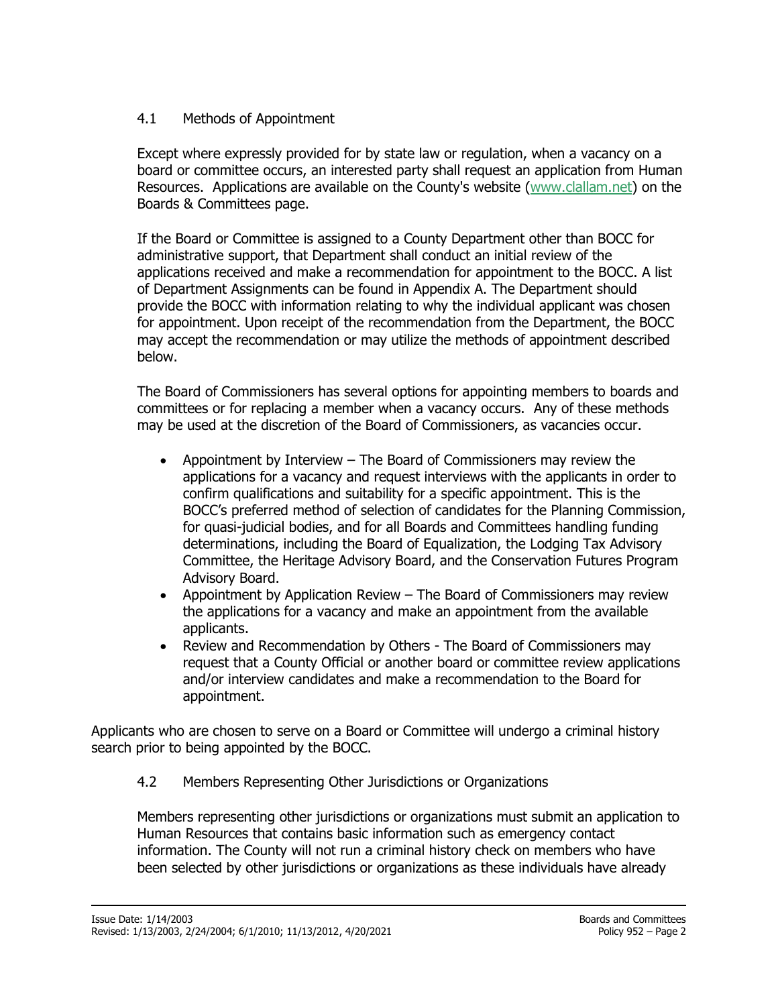## <span id="page-2-0"></span>4.1 Methods of Appointment

Except where expressly provided for by state law or regulation, when a vacancy on a board or committee occurs, an interested party shall request an application from Human Resources. Applications are available on the County's website [\(www.clallam.net\)](http://www.clallam.net/) on the Boards & Committees page.

If the Board or Committee is assigned to a County Department other than BOCC for administrative support, that Department shall conduct an initial review of the applications received and make a recommendation for appointment to the BOCC. A list of Department Assignments can be found in Appendix A. The Department should provide the BOCC with information relating to why the individual applicant was chosen for appointment. Upon receipt of the recommendation from the Department, the BOCC may accept the recommendation or may utilize the methods of appointment described below.

The Board of Commissioners has several options for appointing members to boards and committees or for replacing a member when a vacancy occurs. Any of these methods may be used at the discretion of the Board of Commissioners, as vacancies occur.

- Appointment by Interview The Board of Commissioners may review the applications for a vacancy and request interviews with the applicants in order to confirm qualifications and suitability for a specific appointment. This is the BOCC's preferred method of selection of candidates for the Planning Commission, for quasi-judicial bodies, and for all Boards and Committees handling funding determinations, including the Board of Equalization, the Lodging Tax Advisory Committee, the Heritage Advisory Board, and the Conservation Futures Program Advisory Board.
- Appointment by Application Review The Board of Commissioners may review the applications for a vacancy and make an appointment from the available applicants.
- Review and Recommendation by Others The Board of Commissioners may request that a County Official or another board or committee review applications and/or interview candidates and make a recommendation to the Board for appointment.

Applicants who are chosen to serve on a Board or Committee will undergo a criminal history search prior to being appointed by the BOCC.

## 4.2 Members Representing Other Jurisdictions or Organizations

Members representing other jurisdictions or organizations must submit an application to Human Resources that contains basic information such as emergency contact information. The County will not run a criminal history check on members who have been selected by other jurisdictions or organizations as these individuals have already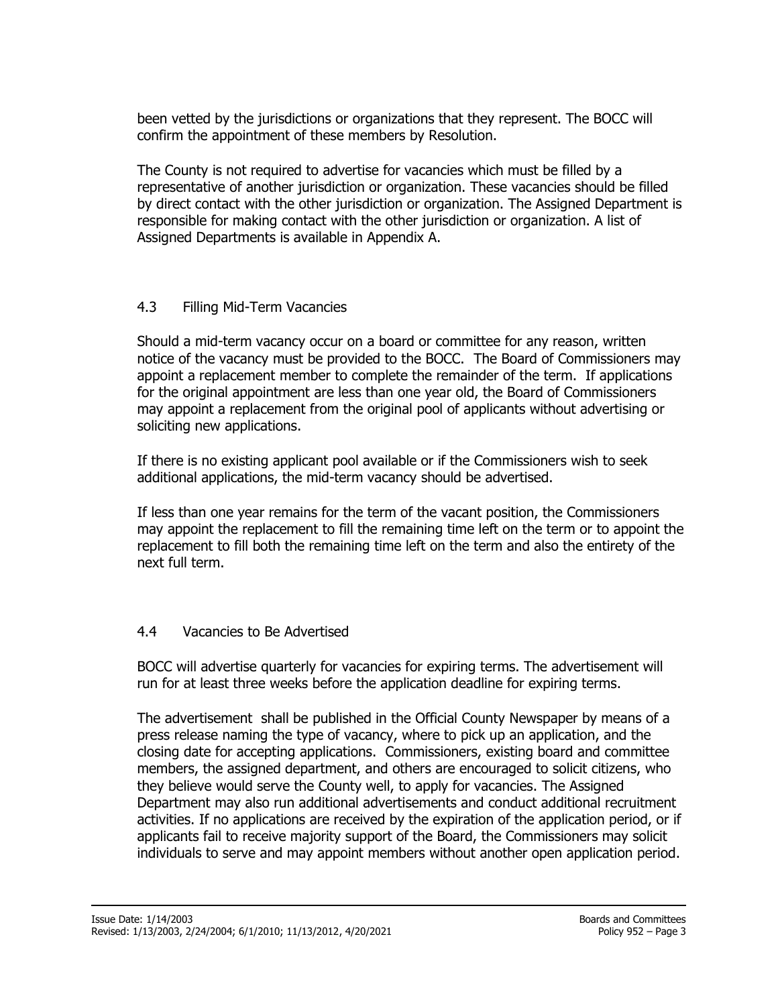been vetted by the jurisdictions or organizations that they represent. The BOCC will confirm the appointment of these members by Resolution.

The County is not required to advertise for vacancies which must be filled by a representative of another jurisdiction or organization. These vacancies should be filled by direct contact with the other jurisdiction or organization. The Assigned Department is responsible for making contact with the other jurisdiction or organization. A list of Assigned Departments is available in Appendix A.

## <span id="page-3-0"></span>4.3 Filling Mid-Term Vacancies

Should a mid-term vacancy occur on a board or committee for any reason, written notice of the vacancy must be provided to the BOCC. The Board of Commissioners may appoint a replacement member to complete the remainder of the term. If applications for the original appointment are less than one year old, the Board of Commissioners may appoint a replacement from the original pool of applicants without advertising or soliciting new applications.

If there is no existing applicant pool available or if the Commissioners wish to seek additional applications, the mid-term vacancy should be advertised.

If less than one year remains for the term of the vacant position, the Commissioners may appoint the replacement to fill the remaining time left on the term or to appoint the replacement to fill both the remaining time left on the term and also the entirety of the next full term.

#### <span id="page-3-1"></span>4.4 Vacancies to Be Advertised

BOCC will advertise quarterly for vacancies for expiring terms. The advertisement will run for at least three weeks before the application deadline for expiring terms.

The advertisement shall be published in the Official County Newspaper by means of a press release naming the type of vacancy, where to pick up an application, and the closing date for accepting applications. Commissioners, existing board and committee members, the assigned department, and others are encouraged to solicit citizens, who they believe would serve the County well, to apply for vacancies. The Assigned Department may also run additional advertisements and conduct additional recruitment activities. If no applications are received by the expiration of the application period, or if applicants fail to receive majority support of the Board, the Commissioners may solicit individuals to serve and may appoint members without another open application period.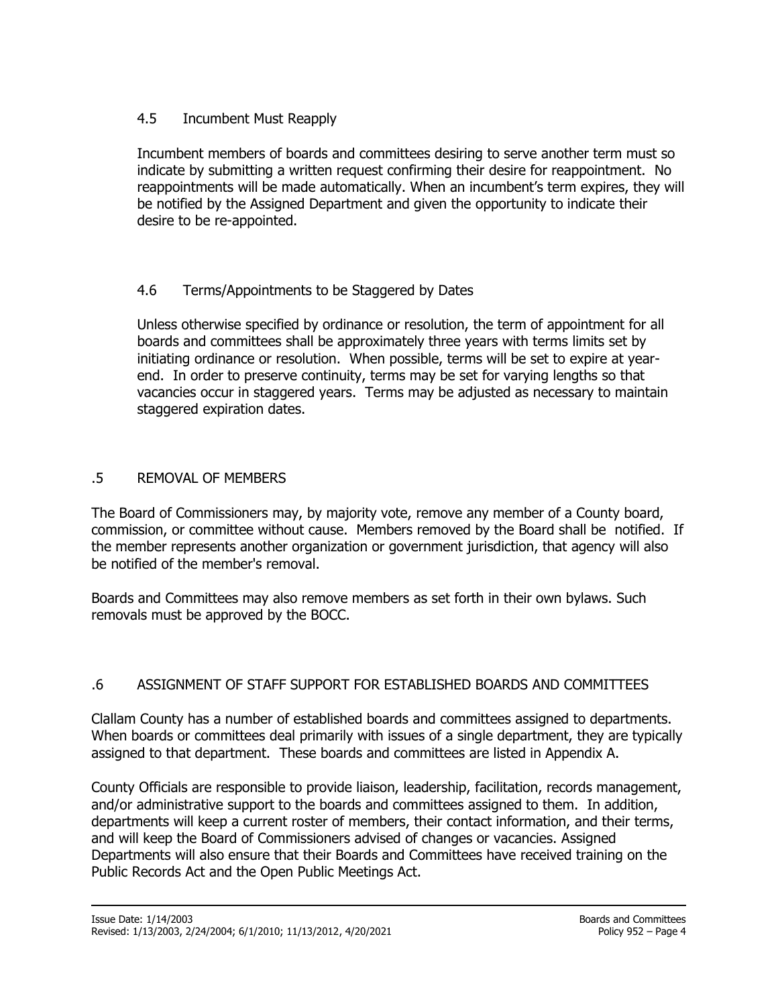## <span id="page-4-0"></span>4.5 Incumbent Must Reapply

Incumbent members of boards and committees desiring to serve another term must so indicate by submitting a written request confirming their desire for reappointment. No reappointments will be made automatically. When an incumbent's term expires, they will be notified by the Assigned Department and given the opportunity to indicate their desire to be re-appointed.

## <span id="page-4-1"></span>4.6 Terms/Appointments to be Staggered by Dates

Unless otherwise specified by ordinance or resolution, the term of appointment for all boards and committees shall be approximately three years with terms limits set by initiating ordinance or resolution. When possible, terms will be set to expire at yearend. In order to preserve continuity, terms may be set for varying lengths so that vacancies occur in staggered years. Terms may be adjusted as necessary to maintain staggered expiration dates.

## <span id="page-4-2"></span>.5 REMOVAL OF MEMBERS

The Board of Commissioners may, by majority vote, remove any member of a County board, commission, or committee without cause. Members removed by the Board shall be notified. If the member represents another organization or government jurisdiction, that agency will also be notified of the member's removal.

Boards and Committees may also remove members as set forth in their own bylaws. Such removals must be approved by the BOCC.

## <span id="page-4-3"></span>.6 ASSIGNMENT OF STAFF SUPPORT FOR ESTABLISHED BOARDS AND COMMITTEES

Clallam County has a number of established boards and committees assigned to departments. When boards or committees deal primarily with issues of a single department, they are typically assigned to that department. These boards and committees are listed in Appendix A.

County Officials are responsible to provide liaison, leadership, facilitation, records management, and/or administrative support to the boards and committees assigned to them. In addition, departments will keep a current roster of members, their contact information, and their terms, and will keep the Board of Commissioners advised of changes or vacancies. Assigned Departments will also ensure that their Boards and Committees have received training on the Public Records Act and the Open Public Meetings Act.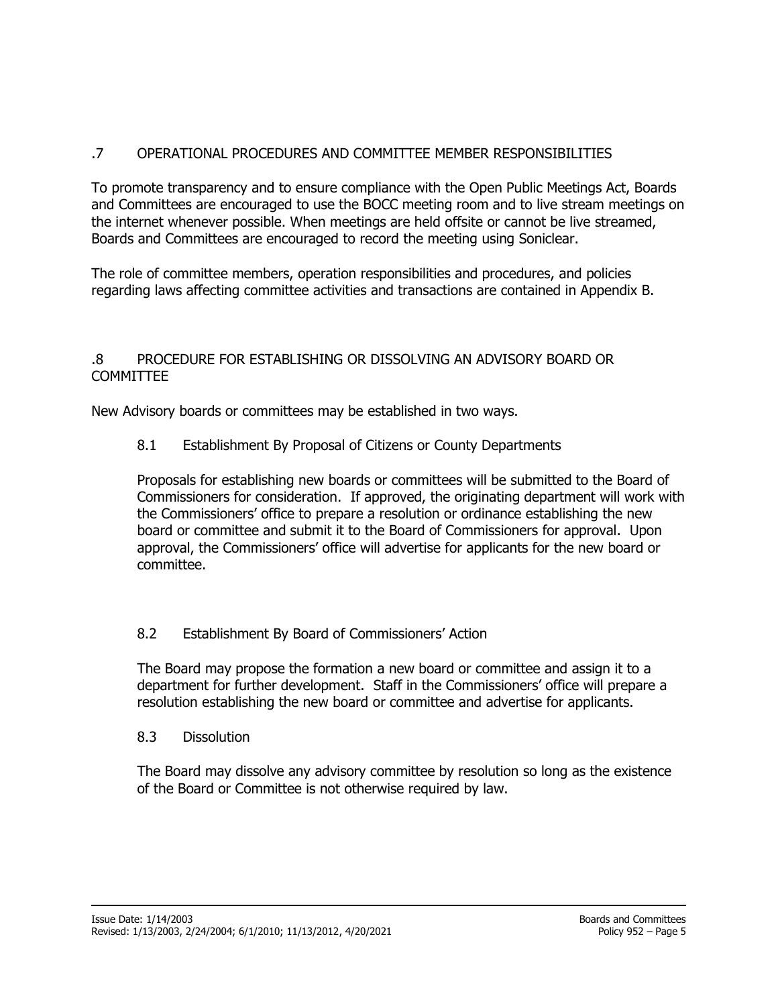## <span id="page-5-0"></span>.7 OPERATIONAL PROCEDURES AND COMMITTEE MEMBER RESPONSIBILITIES

To promote transparency and to ensure compliance with the Open Public Meetings Act, Boards and Committees are encouraged to use the BOCC meeting room and to live stream meetings on the internet whenever possible. When meetings are held offsite or cannot be live streamed, Boards and Committees are encouraged to record the meeting using Soniclear.

The role of committee members, operation responsibilities and procedures, and policies regarding laws affecting committee activities and transactions are contained in Appendix B.

### <span id="page-5-1"></span>.8 PROCEDURE FOR ESTABLISHING OR DISSOLVING AN ADVISORY BOARD OR COMMITTEE

<span id="page-5-2"></span>New Advisory boards or committees may be established in two ways.

8.1 Establishment By Proposal of Citizens or County Departments

Proposals for establishing new boards or committees will be submitted to the Board of Commissioners for consideration. If approved, the originating department will work with the Commissioners' office to prepare a resolution or ordinance establishing the new board or committee and submit it to the Board of Commissioners for approval. Upon approval, the Commissioners' office will advertise for applicants for the new board or committee.

## <span id="page-5-3"></span>8.2 Establishment By Board of Commissioners' Action

The Board may propose the formation a new board or committee and assign it to a department for further development. Staff in the Commissioners' office will prepare a resolution establishing the new board or committee and advertise for applicants.

8.3 Dissolution

The Board may dissolve any advisory committee by resolution so long as the existence of the Board or Committee is not otherwise required by law.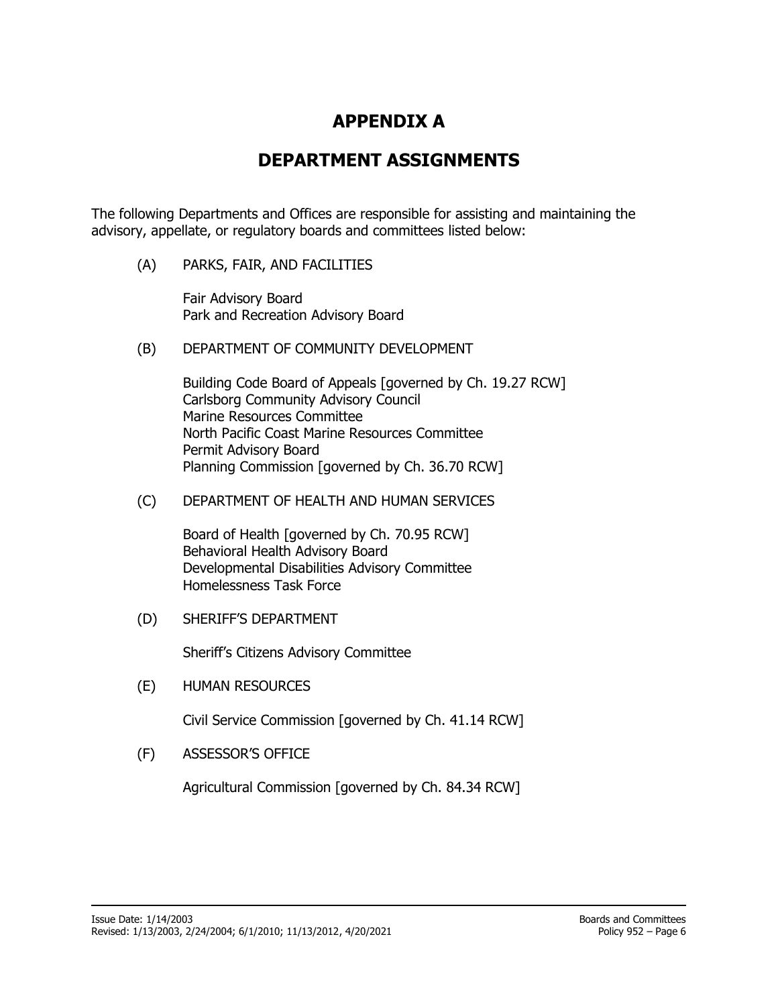## **APPENDIX A**

## **DEPARTMENT ASSIGNMENTS**

<span id="page-6-1"></span><span id="page-6-0"></span>The following Departments and Offices are responsible for assisting and maintaining the advisory, appellate, or regulatory boards and committees listed below:

(A) PARKS, FAIR, AND FACILITIES

Fair Advisory Board Park and Recreation Advisory Board

(B) DEPARTMENT OF COMMUNITY DEVELOPMENT

Building Code Board of Appeals [governed by Ch. 19.27 RCW] Carlsborg Community Advisory Council Marine Resources Committee North Pacific Coast Marine Resources Committee Permit Advisory Board Planning Commission [governed by Ch. 36.70 RCW]

(C) DEPARTMENT OF HEALTH AND HUMAN SERVICES

Board of Health [governed by Ch. 70.95 RCW] Behavioral Health Advisory Board Developmental Disabilities Advisory Committee Homelessness Task Force

(D) SHERIFF'S DEPARTMENT

Sheriff's Citizens Advisory Committee

(E) HUMAN RESOURCES

Civil Service Commission [governed by Ch. 41.14 RCW]

(F) ASSESSOR'S OFFICE

Agricultural Commission [governed by Ch. 84.34 RCW]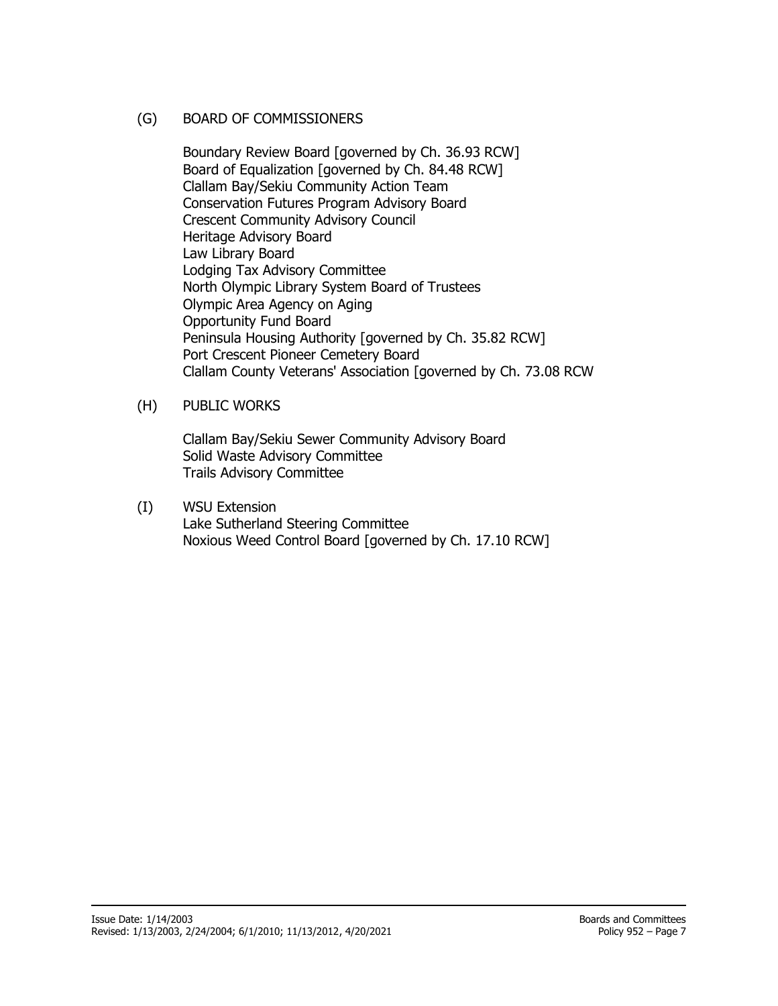#### (G) BOARD OF COMMISSIONERS

Boundary Review Board [governed by Ch. 36.93 RCW] Board of Equalization [governed by Ch. 84.48 RCW] Clallam Bay/Sekiu Community Action Team Conservation Futures Program Advisory Board Crescent Community Advisory Council Heritage Advisory Board Law Library Board Lodging Tax Advisory Committee North Olympic Library System Board of Trustees Olympic Area Agency on Aging Opportunity Fund Board Peninsula Housing Authority [governed by Ch. 35.82 RCW] Port Crescent Pioneer Cemetery Board Clallam County Veterans' Association [governed by Ch. 73.08 RCW

(H) PUBLIC WORKS

Clallam Bay/Sekiu Sewer Community Advisory Board Solid Waste Advisory Committee Trails Advisory Committee

(I) WSU Extension Lake Sutherland Steering Committee Noxious Weed Control Board [governed by Ch. 17.10 RCW]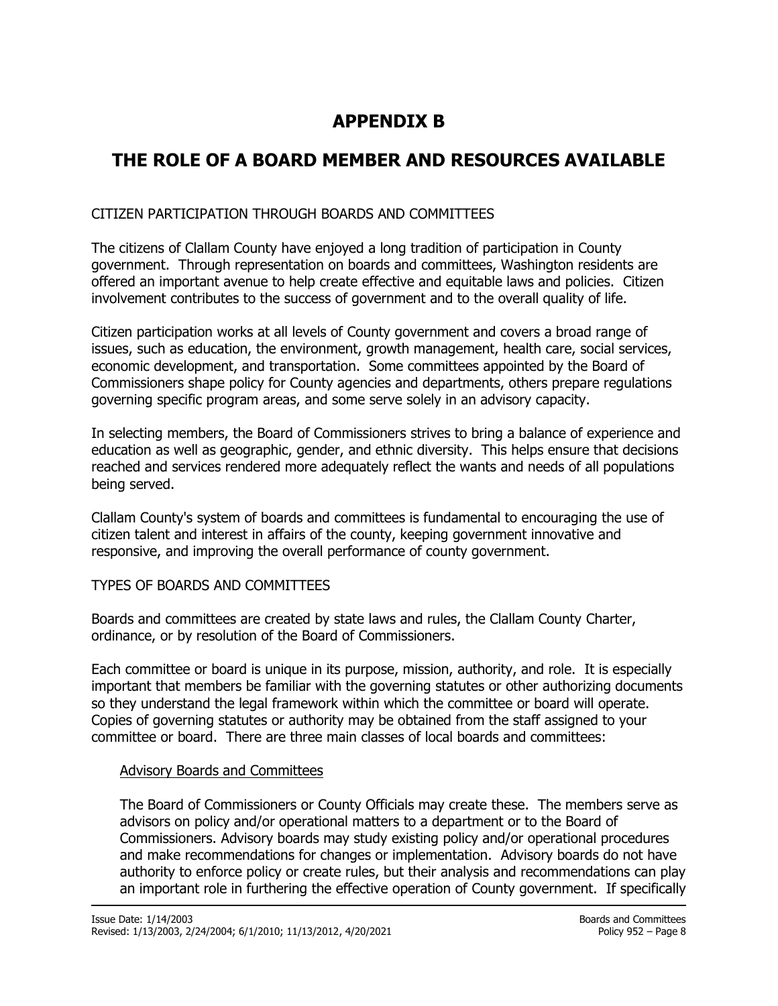# **APPENDIX B**

# <span id="page-8-1"></span><span id="page-8-0"></span>**THE ROLE OF A BOARD MEMBER AND RESOURCES AVAILABLE**

### CITIZEN PARTICIPATION THROUGH BOARDS AND COMMITTEES

The citizens of Clallam County have enjoyed a long tradition of participation in County government. Through representation on boards and committees, Washington residents are offered an important avenue to help create effective and equitable laws and policies. Citizen involvement contributes to the success of government and to the overall quality of life.

Citizen participation works at all levels of County government and covers a broad range of issues, such as education, the environment, growth management, health care, social services, economic development, and transportation. Some committees appointed by the Board of Commissioners shape policy for County agencies and departments, others prepare regulations governing specific program areas, and some serve solely in an advisory capacity.

In selecting members, the Board of Commissioners strives to bring a balance of experience and education as well as geographic, gender, and ethnic diversity. This helps ensure that decisions reached and services rendered more adequately reflect the wants and needs of all populations being served.

Clallam County's system of boards and committees is fundamental to encouraging the use of citizen talent and interest in affairs of the county, keeping government innovative and responsive, and improving the overall performance of county government.

#### TYPES OF BOARDS AND COMMITTEES

Boards and committees are created by state laws and rules, the Clallam County Charter, ordinance, or by resolution of the Board of Commissioners.

Each committee or board is unique in its purpose, mission, authority, and role. It is especially important that members be familiar with the governing statutes or other authorizing documents so they understand the legal framework within which the committee or board will operate. Copies of governing statutes or authority may be obtained from the staff assigned to your committee or board. There are three main classes of local boards and committees:

#### Advisory Boards and Committees

The Board of Commissioners or County Officials may create these. The members serve as advisors on policy and/or operational matters to a department or to the Board of Commissioners. Advisory boards may study existing policy and/or operational procedures and make recommendations for changes or implementation. Advisory boards do not have authority to enforce policy or create rules, but their analysis and recommendations can play an important role in furthering the effective operation of County government. If specifically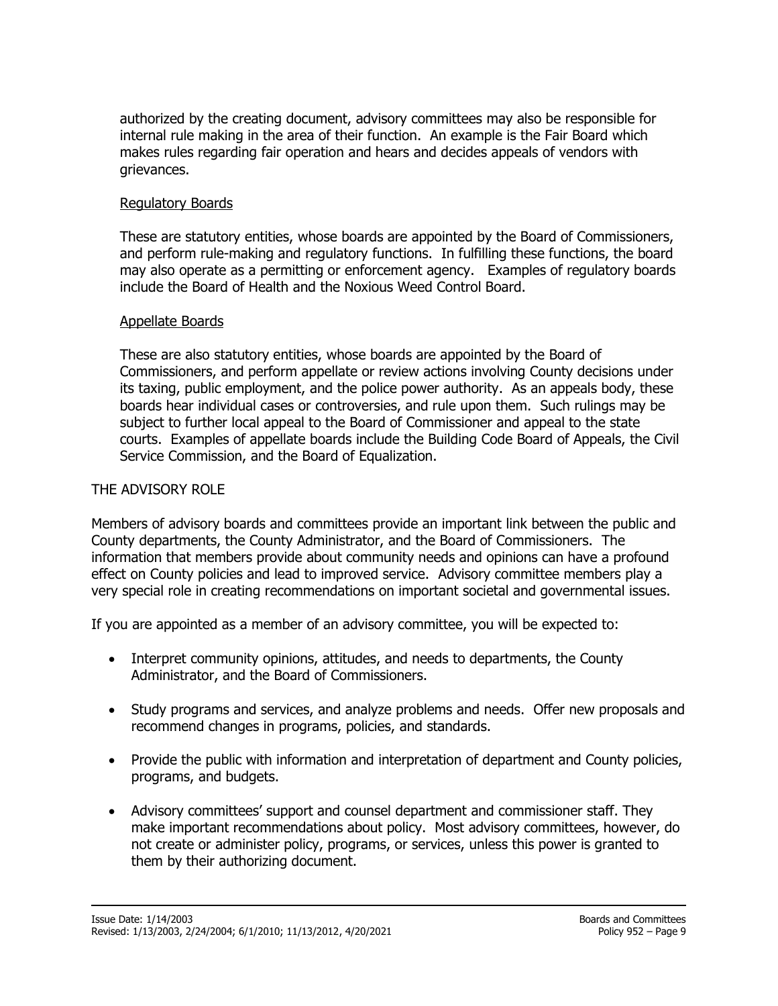authorized by the creating document, advisory committees may also be responsible for internal rule making in the area of their function. An example is the Fair Board which makes rules regarding fair operation and hears and decides appeals of vendors with grievances.

#### Regulatory Boards

These are statutory entities, whose boards are appointed by the Board of Commissioners, and perform rule-making and regulatory functions. In fulfilling these functions, the board may also operate as a permitting or enforcement agency. Examples of regulatory boards include the Board of Health and the Noxious Weed Control Board.

#### Appellate Boards

These are also statutory entities, whose boards are appointed by the Board of Commissioners, and perform appellate or review actions involving County decisions under its taxing, public employment, and the police power authority. As an appeals body, these boards hear individual cases or controversies, and rule upon them. Such rulings may be subject to further local appeal to the Board of Commissioner and appeal to the state courts. Examples of appellate boards include the Building Code Board of Appeals, the Civil Service Commission, and the Board of Equalization.

## THE ADVISORY ROLE

Members of advisory boards and committees provide an important link between the public and County departments, the County Administrator, and the Board of Commissioners. The information that members provide about community needs and opinions can have a profound effect on County policies and lead to improved service. Advisory committee members play a very special role in creating recommendations on important societal and governmental issues.

If you are appointed as a member of an advisory committee, you will be expected to:

- Interpret community opinions, attitudes, and needs to departments, the County Administrator, and the Board of Commissioners.
- Study programs and services, and analyze problems and needs. Offer new proposals and recommend changes in programs, policies, and standards.
- Provide the public with information and interpretation of department and County policies, programs, and budgets.
- Advisory committees' support and counsel department and commissioner staff. They make important recommendations about policy. Most advisory committees, however, do not create or administer policy, programs, or services, unless this power is granted to them by their authorizing document.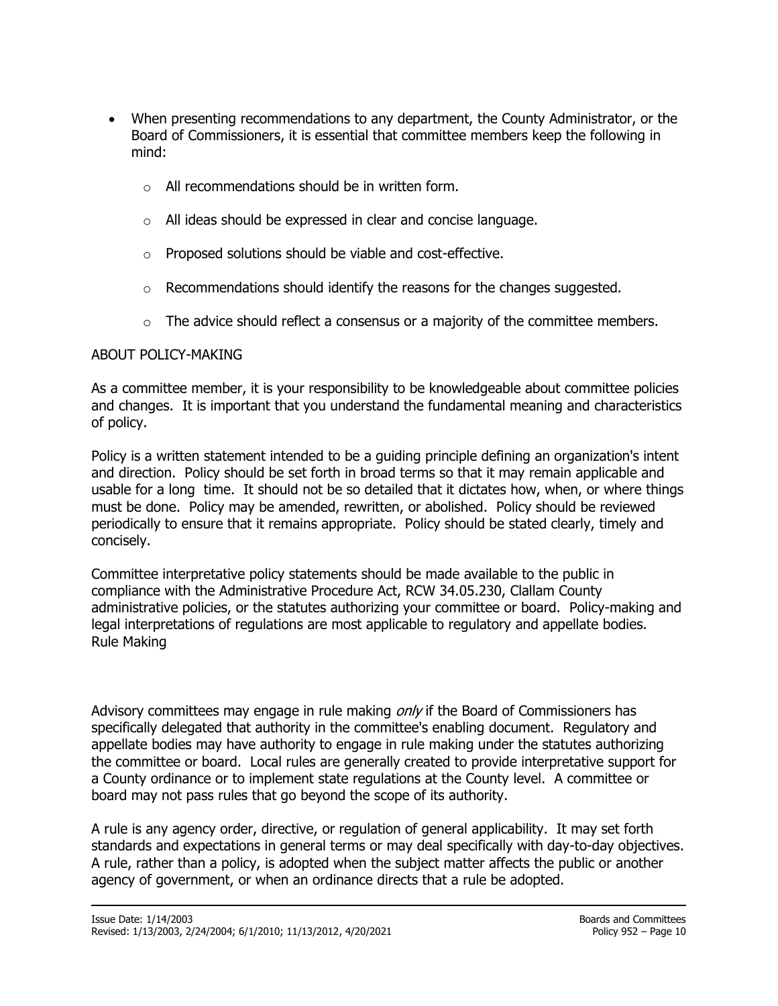- When presenting recommendations to any department, the County Administrator, or the Board of Commissioners, it is essential that committee members keep the following in mind:
	- o All recommendations should be in written form.
	- o All ideas should be expressed in clear and concise language.
	- o Proposed solutions should be viable and cost-effective.
	- $\circ$  Recommendations should identify the reasons for the changes suggested.
	- $\circ$  The advice should reflect a consensus or a majority of the committee members.

#### ABOUT POLICY-MAKING

As a committee member, it is your responsibility to be knowledgeable about committee policies and changes. It is important that you understand the fundamental meaning and characteristics of policy.

Policy is a written statement intended to be a guiding principle defining an organization's intent and direction. Policy should be set forth in broad terms so that it may remain applicable and usable for a long time. It should not be so detailed that it dictates how, when, or where things must be done. Policy may be amended, rewritten, or abolished. Policy should be reviewed periodically to ensure that it remains appropriate. Policy should be stated clearly, timely and concisely.

Committee interpretative policy statements should be made available to the public in compliance with the Administrative Procedure Act, RCW 34.05.230, Clallam County administrative policies, or the statutes authorizing your committee or board. Policy-making and legal interpretations of regulations are most applicable to regulatory and appellate bodies. Rule Making

Advisory committees may engage in rule making  $\omega n/v$  if the Board of Commissioners has specifically delegated that authority in the committee's enabling document. Regulatory and appellate bodies may have authority to engage in rule making under the statutes authorizing the committee or board. Local rules are generally created to provide interpretative support for a County ordinance or to implement state regulations at the County level. A committee or board may not pass rules that go beyond the scope of its authority.

A rule is any agency order, directive, or regulation of general applicability. It may set forth standards and expectations in general terms or may deal specifically with day-to-day objectives. A rule, rather than a policy, is adopted when the subject matter affects the public or another agency of government, or when an ordinance directs that a rule be adopted.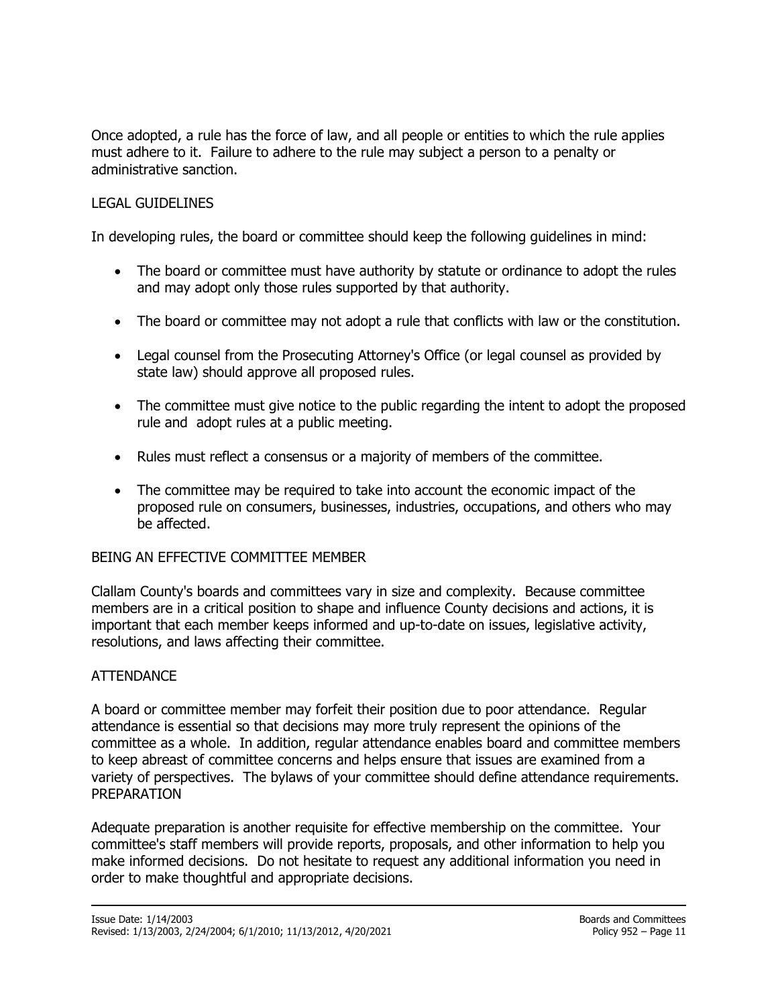Once adopted, a rule has the force of law, and all people or entities to which the rule applies must adhere to it. Failure to adhere to the rule may subject a person to a penalty or administrative sanction.

## LEGAL GUIDELINES

In developing rules, the board or committee should keep the following guidelines in mind:

- The board or committee must have authority by statute or ordinance to adopt the rules and may adopt only those rules supported by that authority.
- The board or committee may not adopt a rule that conflicts with law or the constitution.
- Legal counsel from the Prosecuting Attorney's Office (or legal counsel as provided by state law) should approve all proposed rules.
- The committee must give notice to the public regarding the intent to adopt the proposed rule and adopt rules at a public meeting.
- Rules must reflect a consensus or a majority of members of the committee.
- The committee may be required to take into account the economic impact of the proposed rule on consumers, businesses, industries, occupations, and others who may be affected.

#### BEING AN EFFECTIVE COMMITTEE MEMBER

Clallam County's boards and committees vary in size and complexity. Because committee members are in a critical position to shape and influence County decisions and actions, it is important that each member keeps informed and up-to-date on issues, legislative activity, resolutions, and laws affecting their committee.

#### ATTENDANCE

A board or committee member may forfeit their position due to poor attendance. Regular attendance is essential so that decisions may more truly represent the opinions of the committee as a whole. In addition, regular attendance enables board and committee members to keep abreast of committee concerns and helps ensure that issues are examined from a variety of perspectives. The bylaws of your committee should define attendance requirements. PREPARATION

Adequate preparation is another requisite for effective membership on the committee. Your committee's staff members will provide reports, proposals, and other information to help you make informed decisions. Do not hesitate to request any additional information you need in order to make thoughtful and appropriate decisions.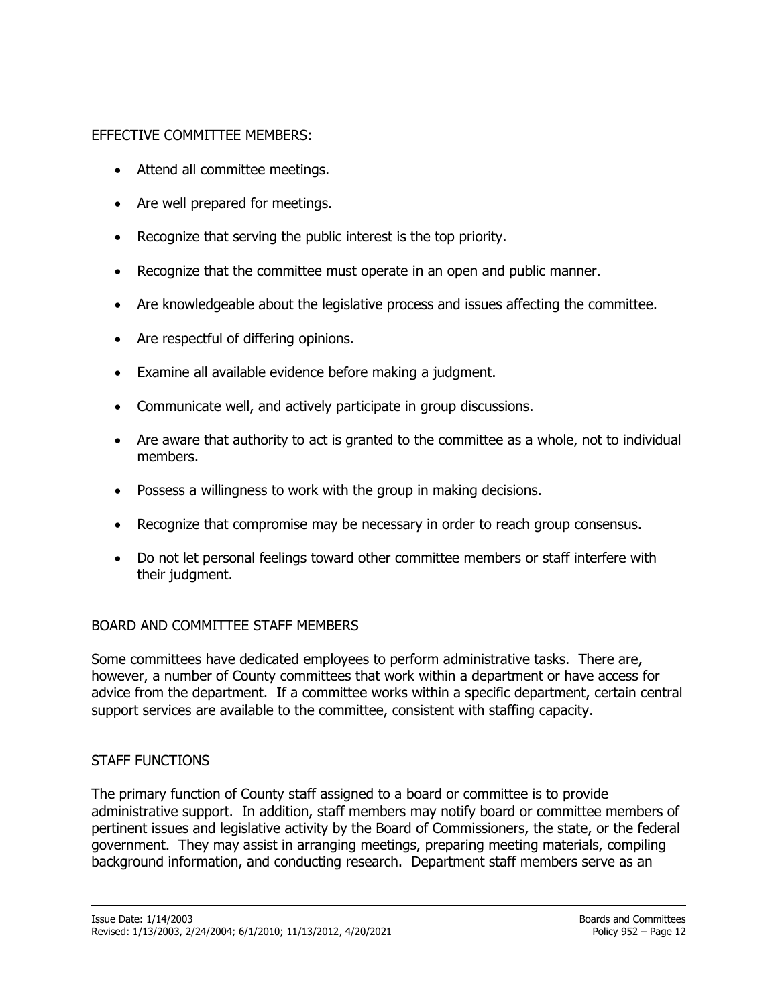## EFFECTIVE COMMITTEE MEMBERS:

- Attend all committee meetings.
- Are well prepared for meetings.
- Recognize that serving the public interest is the top priority.
- Recognize that the committee must operate in an open and public manner.
- Are knowledgeable about the legislative process and issues affecting the committee.
- Are respectful of differing opinions.
- Examine all available evidence before making a judgment.
- Communicate well, and actively participate in group discussions.
- Are aware that authority to act is granted to the committee as a whole, not to individual members.
- Possess a willingness to work with the group in making decisions.
- Recognize that compromise may be necessary in order to reach group consensus.
- Do not let personal feelings toward other committee members or staff interfere with their judgment.

#### BOARD AND COMMITTEE STAFF MEMBERS

Some committees have dedicated employees to perform administrative tasks. There are, however, a number of County committees that work within a department or have access for advice from the department. If a committee works within a specific department, certain central support services are available to the committee, consistent with staffing capacity.

#### STAFF FUNCTIONS

The primary function of County staff assigned to a board or committee is to provide administrative support. In addition, staff members may notify board or committee members of pertinent issues and legislative activity by the Board of Commissioners, the state, or the federal government. They may assist in arranging meetings, preparing meeting materials, compiling background information, and conducting research. Department staff members serve as an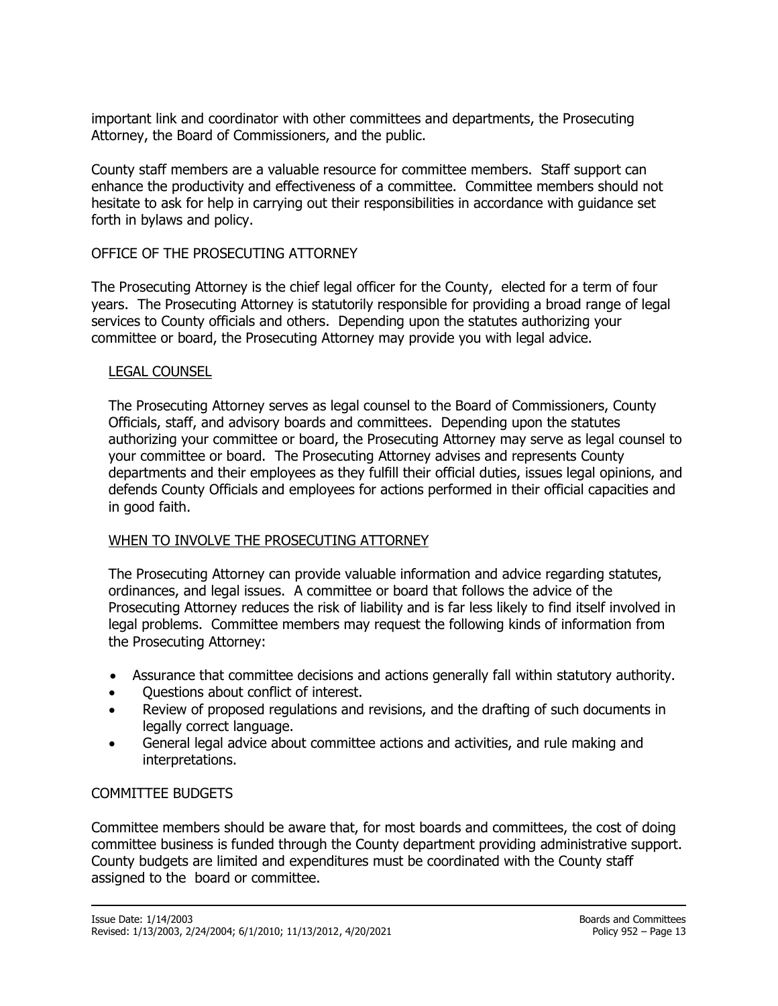important link and coordinator with other committees and departments, the Prosecuting Attorney, the Board of Commissioners, and the public.

County staff members are a valuable resource for committee members. Staff support can enhance the productivity and effectiveness of a committee. Committee members should not hesitate to ask for help in carrying out their responsibilities in accordance with guidance set forth in bylaws and policy.

### OFFICE OF THE PROSECUTING ATTORNEY

The Prosecuting Attorney is the chief legal officer for the County, elected for a term of four years. The Prosecuting Attorney is statutorily responsible for providing a broad range of legal services to County officials and others. Depending upon the statutes authorizing your committee or board, the Prosecuting Attorney may provide you with legal advice.

#### LEGAL COUNSEL

The Prosecuting Attorney serves as legal counsel to the Board of Commissioners, County Officials, staff, and advisory boards and committees. Depending upon the statutes authorizing your committee or board, the Prosecuting Attorney may serve as legal counsel to your committee or board. The Prosecuting Attorney advises and represents County departments and their employees as they fulfill their official duties, issues legal opinions, and defends County Officials and employees for actions performed in their official capacities and in good faith.

## WHEN TO INVOLVE THE PROSECUTING ATTORNEY

The Prosecuting Attorney can provide valuable information and advice regarding statutes, ordinances, and legal issues. A committee or board that follows the advice of the Prosecuting Attorney reduces the risk of liability and is far less likely to find itself involved in legal problems. Committee members may request the following kinds of information from the Prosecuting Attorney:

- Assurance that committee decisions and actions generally fall within statutory authority.
- Questions about conflict of interest.
- Review of proposed regulations and revisions, and the drafting of such documents in legally correct language.
- General legal advice about committee actions and activities, and rule making and interpretations.

#### COMMITTEE BUDGETS

Committee members should be aware that, for most boards and committees, the cost of doing committee business is funded through the County department providing administrative support. County budgets are limited and expenditures must be coordinated with the County staff assigned to the board or committee.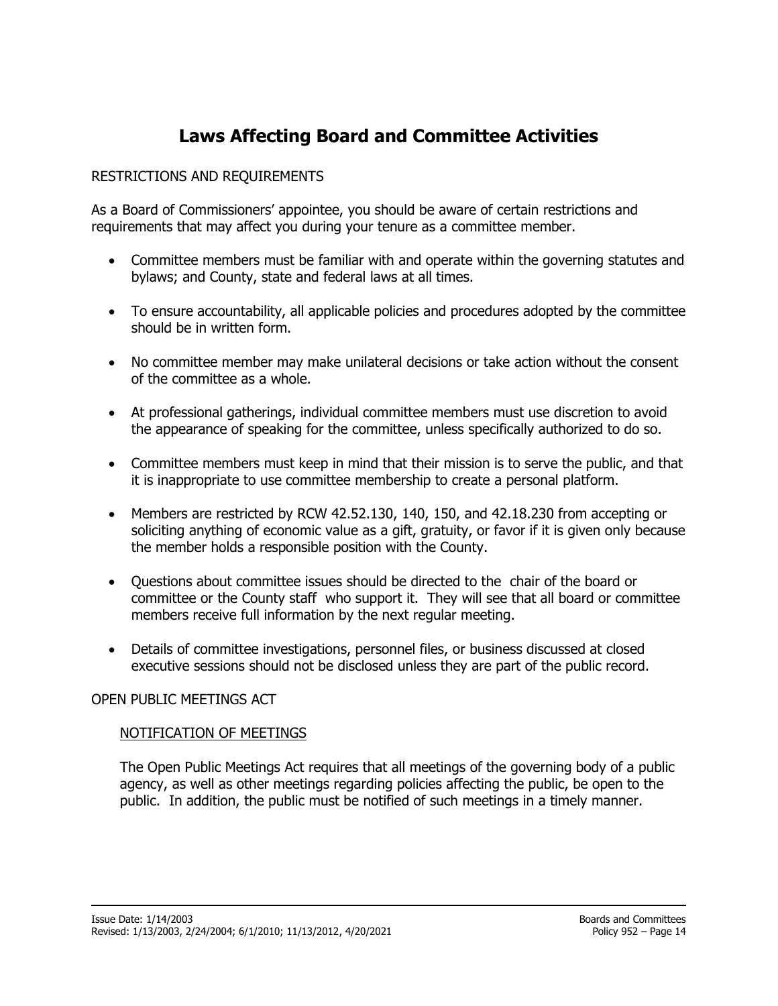# **Laws Affecting Board and Committee Activities**

## RESTRICTIONS AND REQUIREMENTS

As a Board of Commissioners' appointee, you should be aware of certain restrictions and requirements that may affect you during your tenure as a committee member.

- Committee members must be familiar with and operate within the governing statutes and bylaws; and County, state and federal laws at all times.
- To ensure accountability, all applicable policies and procedures adopted by the committee should be in written form.
- No committee member may make unilateral decisions or take action without the consent of the committee as a whole.
- At professional gatherings, individual committee members must use discretion to avoid the appearance of speaking for the committee, unless specifically authorized to do so.
- Committee members must keep in mind that their mission is to serve the public, and that it is inappropriate to use committee membership to create a personal platform.
- Members are restricted by RCW 42.52.130, 140, 150, and 42.18.230 from accepting or soliciting anything of economic value as a gift, gratuity, or favor if it is given only because the member holds a responsible position with the County.
- Questions about committee issues should be directed to the chair of the board or committee or the County staff who support it. They will see that all board or committee members receive full information by the next regular meeting.
- Details of committee investigations, personnel files, or business discussed at closed executive sessions should not be disclosed unless they are part of the public record.

#### OPEN PUBLIC MEETINGS ACT

#### NOTIFICATION OF MEETINGS

The Open Public Meetings Act requires that all meetings of the governing body of a public agency, as well as other meetings regarding policies affecting the public, be open to the public. In addition, the public must be notified of such meetings in a timely manner.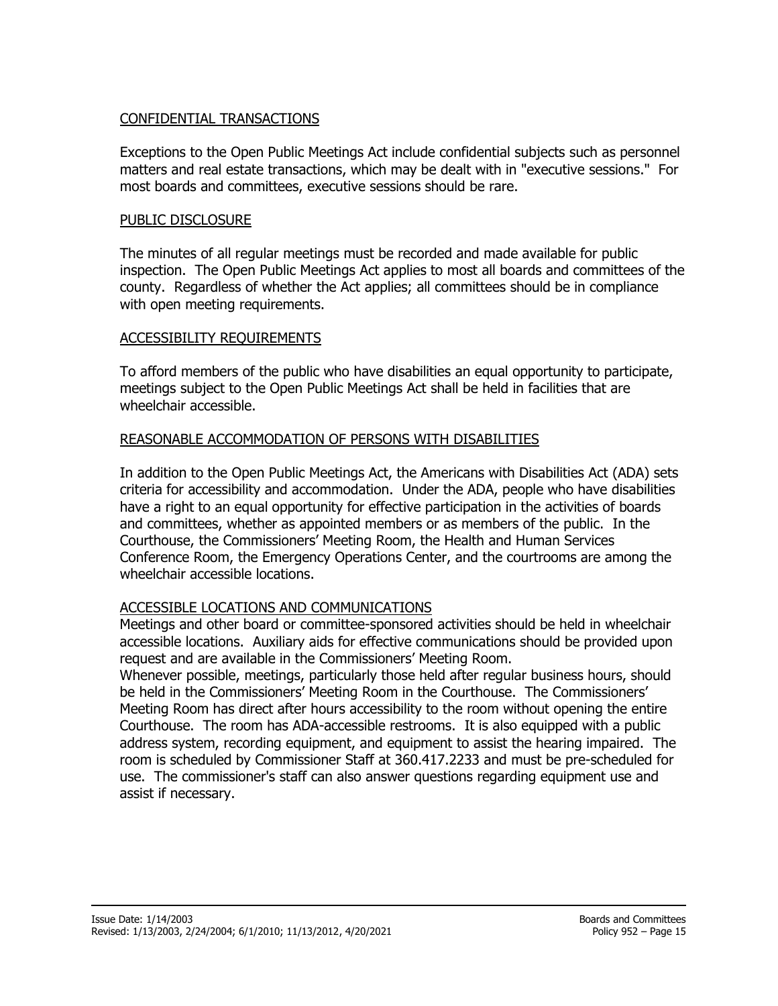#### CONFIDENTIAL TRANSACTIONS

Exceptions to the Open Public Meetings Act include confidential subjects such as personnel matters and real estate transactions, which may be dealt with in "executive sessions." For most boards and committees, executive sessions should be rare.

#### PUBLIC DISCLOSURE

The minutes of all regular meetings must be recorded and made available for public inspection. The Open Public Meetings Act applies to most all boards and committees of the county. Regardless of whether the Act applies; all committees should be in compliance with open meeting requirements.

#### ACCESSIBILITY REQUIREMENTS

To afford members of the public who have disabilities an equal opportunity to participate, meetings subject to the Open Public Meetings Act shall be held in facilities that are wheelchair accessible.

## REASONABLE ACCOMMODATION OF PERSONS WITH DISABILITIES

In addition to the Open Public Meetings Act, the Americans with Disabilities Act (ADA) sets criteria for accessibility and accommodation. Under the ADA, people who have disabilities have a right to an equal opportunity for effective participation in the activities of boards and committees, whether as appointed members or as members of the public. In the Courthouse, the Commissioners' Meeting Room, the Health and Human Services Conference Room, the Emergency Operations Center, and the courtrooms are among the wheelchair accessible locations.

## ACCESSIBLE LOCATIONS AND COMMUNICATIONS

Meetings and other board or committee-sponsored activities should be held in wheelchair accessible locations. Auxiliary aids for effective communications should be provided upon request and are available in the Commissioners' Meeting Room.

Whenever possible, meetings, particularly those held after regular business hours, should be held in the Commissioners' Meeting Room in the Courthouse. The Commissioners' Meeting Room has direct after hours accessibility to the room without opening the entire Courthouse. The room has ADA-accessible restrooms. It is also equipped with a public address system, recording equipment, and equipment to assist the hearing impaired. The room is scheduled by Commissioner Staff at 360.417.2233 and must be pre-scheduled for use. The commissioner's staff can also answer questions regarding equipment use and assist if necessary.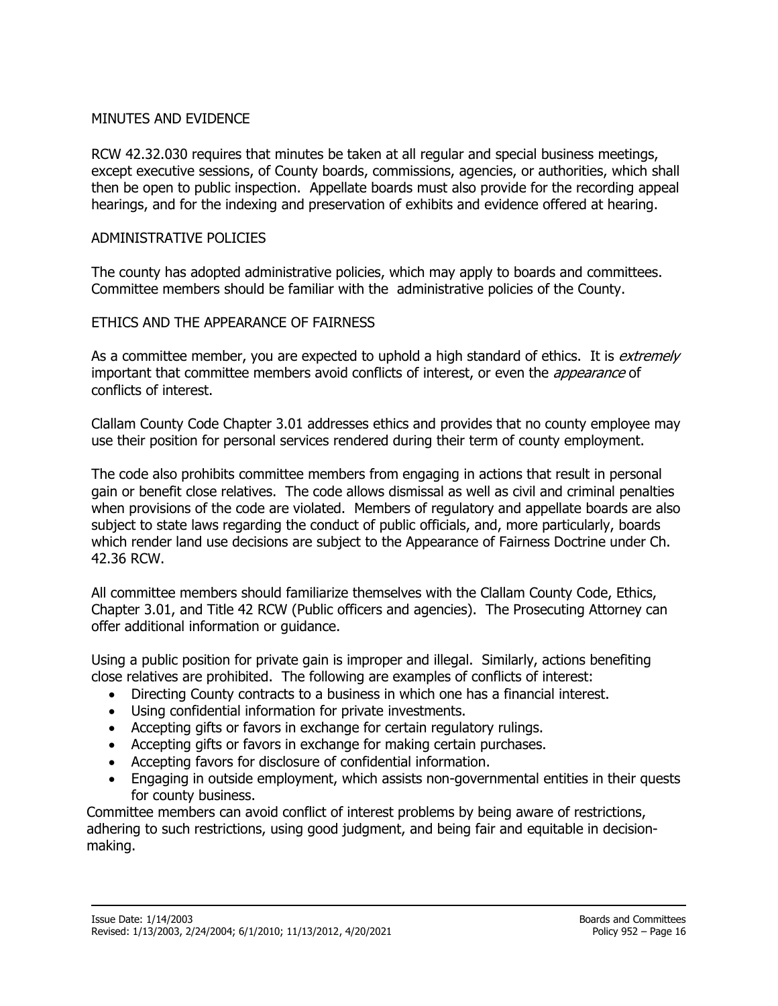#### MINUTES AND EVIDENCE

RCW 42.32.030 requires that minutes be taken at all regular and special business meetings, except executive sessions, of County boards, commissions, agencies, or authorities, which shall then be open to public inspection. Appellate boards must also provide for the recording appeal hearings, and for the indexing and preservation of exhibits and evidence offered at hearing.

#### ADMINISTRATIVE POLICIES

The county has adopted administrative policies, which may apply to boards and committees. Committee members should be familiar with the administrative policies of the County.

#### ETHICS AND THE APPEARANCE OF FAIRNESS

As a committee member, you are expected to uphold a high standard of ethics. It is extremely important that committee members avoid conflicts of interest, or even the *appearance* of conflicts of interest.

Clallam County Code Chapter 3.01 addresses ethics and provides that no county employee may use their position for personal services rendered during their term of county employment.

The code also prohibits committee members from engaging in actions that result in personal gain or benefit close relatives. The code allows dismissal as well as civil and criminal penalties when provisions of the code are violated. Members of regulatory and appellate boards are also subject to state laws regarding the conduct of public officials, and, more particularly, boards which render land use decisions are subject to the Appearance of Fairness Doctrine under Ch. 42.36 RCW.

All committee members should familiarize themselves with the Clallam County Code, Ethics, Chapter 3.01, and Title 42 RCW (Public officers and agencies). The Prosecuting Attorney can offer additional information or guidance.

Using a public position for private gain is improper and illegal. Similarly, actions benefiting close relatives are prohibited. The following are examples of conflicts of interest:

- Directing County contracts to a business in which one has a financial interest.
- Using confidential information for private investments.
- Accepting gifts or favors in exchange for certain regulatory rulings.
- Accepting gifts or favors in exchange for making certain purchases.
- Accepting favors for disclosure of confidential information.
- Engaging in outside employment, which assists non-governmental entities in their quests for county business.

Committee members can avoid conflict of interest problems by being aware of restrictions, adhering to such restrictions, using good judgment, and being fair and equitable in decisionmaking.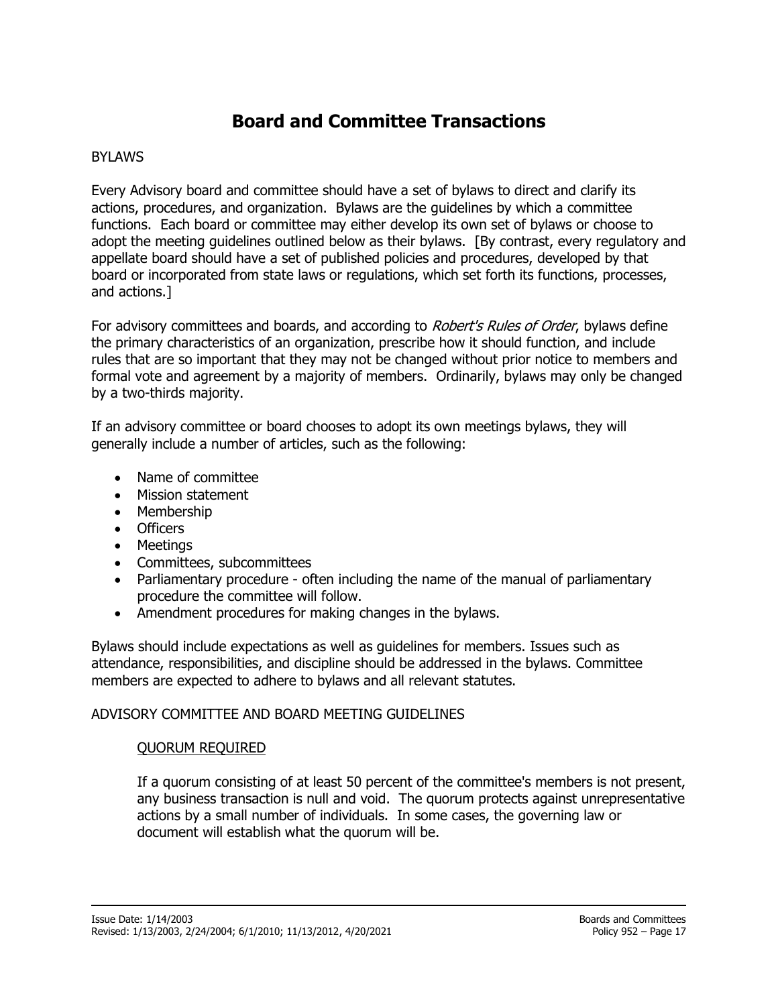# **Board and Committee Transactions**

## BYLAWS

Every Advisory board and committee should have a set of bylaws to direct and clarify its actions, procedures, and organization. Bylaws are the guidelines by which a committee functions. Each board or committee may either develop its own set of bylaws or choose to adopt the meeting guidelines outlined below as their bylaws. [By contrast, every regulatory and appellate board should have a set of published policies and procedures, developed by that board or incorporated from state laws or regulations, which set forth its functions, processes, and actions.]

For advisory committees and boards, and according to *Robert's Rules of Order*, bylaws define the primary characteristics of an organization, prescribe how it should function, and include rules that are so important that they may not be changed without prior notice to members and formal vote and agreement by a majority of members. Ordinarily, bylaws may only be changed by a two-thirds majority.

If an advisory committee or board chooses to adopt its own meetings bylaws, they will generally include a number of articles, such as the following:

- Name of committee
- Mission statement
- Membership
- Officers
- Meetings
- Committees, subcommittees
- Parliamentary procedure often including the name of the manual of parliamentary procedure the committee will follow.
- Amendment procedures for making changes in the bylaws.

Bylaws should include expectations as well as guidelines for members. Issues such as attendance, responsibilities, and discipline should be addressed in the bylaws. Committee members are expected to adhere to bylaws and all relevant statutes.

#### ADVISORY COMMITTEE AND BOARD MEETING GUIDELINES

#### QUORUM REQUIRED

If a quorum consisting of at least 50 percent of the committee's members is not present, any business transaction is null and void. The quorum protects against unrepresentative actions by a small number of individuals. In some cases, the governing law or document will establish what the quorum will be.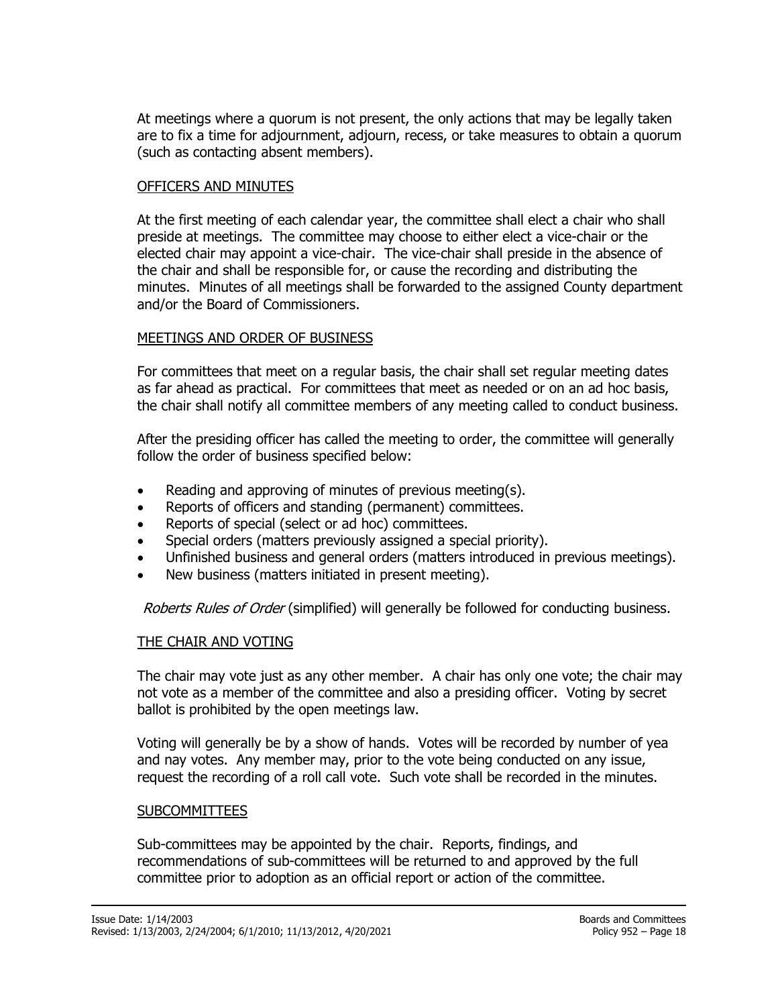At meetings where a quorum is not present, the only actions that may be legally taken are to fix a time for adjournment, adjourn, recess, or take measures to obtain a quorum (such as contacting absent members).

#### OFFICERS AND MINUTES

At the first meeting of each calendar year, the committee shall elect a chair who shall preside at meetings. The committee may choose to either elect a vice-chair or the elected chair may appoint a vice-chair. The vice-chair shall preside in the absence of the chair and shall be responsible for, or cause the recording and distributing the minutes. Minutes of all meetings shall be forwarded to the assigned County department and/or the Board of Commissioners.

#### MEETINGS AND ORDER OF BUSINESS

For committees that meet on a regular basis, the chair shall set regular meeting dates as far ahead as practical. For committees that meet as needed or on an ad hoc basis, the chair shall notify all committee members of any meeting called to conduct business.

After the presiding officer has called the meeting to order, the committee will generally follow the order of business specified below:

- Reading and approving of minutes of previous meeting(s).
- Reports of officers and standing (permanent) committees.
- Reports of special (select or ad hoc) committees.
- Special orders (matters previously assigned a special priority).
- Unfinished business and general orders (matters introduced in previous meetings).
- New business (matters initiated in present meeting).

Roberts Rules of Order (simplified) will generally be followed for conducting business.

#### THE CHAIR AND VOTING

The chair may vote just as any other member. A chair has only one vote; the chair may not vote as a member of the committee and also a presiding officer. Voting by secret ballot is prohibited by the open meetings law.

Voting will generally be by a show of hands. Votes will be recorded by number of yea and nay votes. Any member may, prior to the vote being conducted on any issue, request the recording of a roll call vote. Such vote shall be recorded in the minutes.

#### SUBCOMMITTEES

Sub-committees may be appointed by the chair. Reports, findings, and recommendations of sub-committees will be returned to and approved by the full committee prior to adoption as an official report or action of the committee.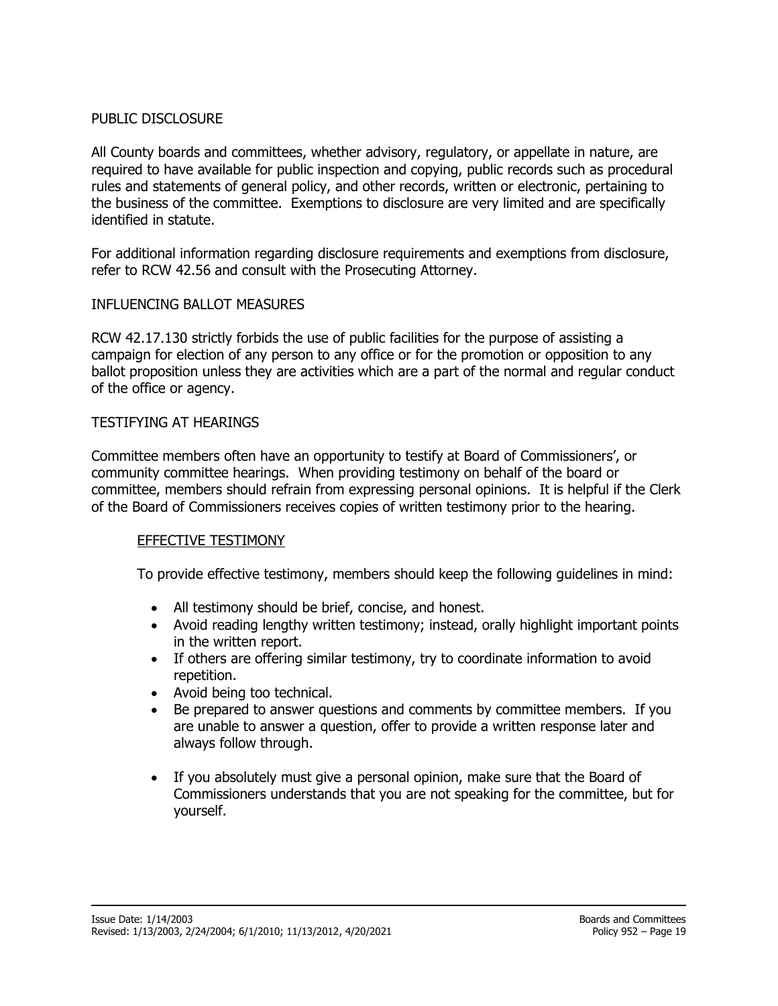#### PUBLIC DISCLOSURE

All County boards and committees, whether advisory, regulatory, or appellate in nature, are required to have available for public inspection and copying, public records such as procedural rules and statements of general policy, and other records, written or electronic, pertaining to the business of the committee. Exemptions to disclosure are very limited and are specifically identified in statute.

For additional information regarding disclosure requirements and exemptions from disclosure, refer to RCW 42.56 and consult with the Prosecuting Attorney.

#### INFLUENCING BALLOT MEASURES

RCW 42.17.130 strictly forbids the use of public facilities for the purpose of assisting a campaign for election of any person to any office or for the promotion or opposition to any ballot proposition unless they are activities which are a part of the normal and regular conduct of the office or agency.

#### TESTIFYING AT HEARINGS

Committee members often have an opportunity to testify at Board of Commissioners', or community committee hearings. When providing testimony on behalf of the board or committee, members should refrain from expressing personal opinions. It is helpful if the Clerk of the Board of Commissioners receives copies of written testimony prior to the hearing.

#### EFFECTIVE TESTIMONY

To provide effective testimony, members should keep the following guidelines in mind:

- All testimony should be brief, concise, and honest.
- Avoid reading lengthy written testimony; instead, orally highlight important points in the written report.
- If others are offering similar testimony, try to coordinate information to avoid repetition.
- Avoid being too technical.
- Be prepared to answer questions and comments by committee members. If you are unable to answer a question, offer to provide a written response later and always follow through.
- If you absolutely must give a personal opinion, make sure that the Board of Commissioners understands that you are not speaking for the committee, but for yourself.